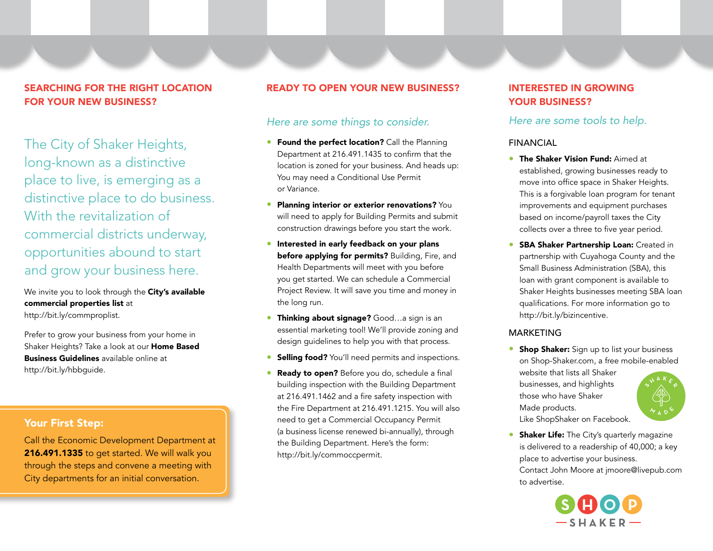# SEARCHING FOR THE RIGHT LOCATION FOR YOUR NEW BUSINESS?

The City of Shaker Heights, long-known as a distinctive place to live, is emerging as a distinctive place to do business. With the revitalization of commercial districts underway, opportunities abound to start and grow your business here.

We invite you to look through the City's available commercial properties list at http://bit.ly/commproplist.

Prefer to grow your business from your home in Shaker Heights? Take a look at our **Home Based** Business Guidelines available online at http://bit.ly/hbbguide.

# Your First Step:

Call the Economic Development Department at 216.491.1335 to get started. We will walk you through the steps and convene a meeting with City departments for an initial conversation.

## READY TO OPEN YOUR NEW BUSINESS?

# *Here are some things to consider.*

- **Found the perfect location?** Call the Planning Department at 216.491.1435 to confirm that the location is zoned for your business. And heads up: You may need a Conditional Use Permit or Variance.
- Planning interior or exterior renovations? You will need to apply for Building Permits and submit construction drawings before you start the work.
- Interested in early feedback on your plans before applying for permits? Building, Fire, and Health Departments will meet with you before you get started. We can schedule a Commercial Project Review. It will save you time and money in the long run.
- Thinking about signage? Good...a sign is an essential marketing tool! We'll provide zoning and design guidelines to help you with that process.
- **Selling food?** You'll need permits and inspections.
- Ready to open? Before you do, schedule a final building inspection with the Building Department at 216.491.1462 and a fire safety inspection with the Fire Department at 216.491.1215. You will also need to get a Commercial Occupancy Permit (a business license renewed bi-annually), through the Building Department. Here's the form: http://bit.ly/commoccpermit.

# INTERESTED IN GROWING YOUR BUSINESS?

## *Here are some tools to help.*

## FINANCIAL

- **The Shaker Vision Fund: Aimed at** established, growing businesses ready to move into office space in Shaker Heights. This is a forgivable loan program for tenant improvements and equipment purchases based on income/payroll taxes the City collects over a three to five year period.
- **SBA Shaker Partnership Loan: Created in** partnership with Cuyahoga County and the Small Business Administration (SBA), this loan with grant component is available to Shaker Heights businesses meeting SBA loan qualifications. For more information go to http://bit.ly/bizincentive.

## **MARKETING**

**• Shop Shaker:** Sign up to list your business on Shop-Shaker.com, a free mobile-enabled website that lists all Shaker businesses, and highlights those who have Shaker Made products.



**Shaker Life:** The City's quarterly magazine is delivered to a readership of 40,000; a key place to advertise your business. Contact John Moore at jmoore@livepub.com to advertise.

Like ShopShaker on Facebook.